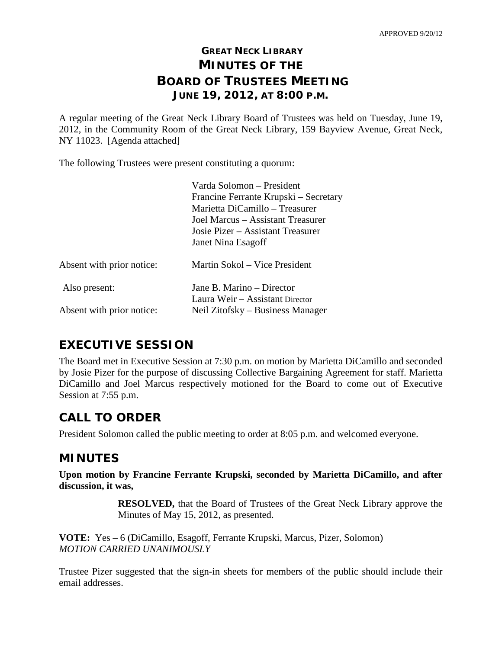## **GREAT NECK LIBRARY MINUTES OF THE BOARD OF TRUSTEES MEETING JUNE 19, 2012, AT 8:00 P.M.**

A regular meeting of the Great Neck Library Board of Trustees was held on Tuesday, June 19, 2012, in the Community Room of the Great Neck Library, 159 Bayview Avenue, Great Neck, NY 11023. [Agenda attached]

The following Trustees were present constituting a quorum:

|                           | Varda Solomon – President<br>Francine Ferrante Krupski – Secretary<br>Marietta DiCamillo – Treasurer<br>Joel Marcus – Assistant Treasurer<br>Josie Pizer – Assistant Treasurer<br>Janet Nina Esagoff |
|---------------------------|------------------------------------------------------------------------------------------------------------------------------------------------------------------------------------------------------|
| Absent with prior notice: | Martin Sokol – Vice President                                                                                                                                                                        |
| Also present:             | Jane B. Marino – Director<br>Laura Weir - Assistant Director                                                                                                                                         |
| Absent with prior notice: | Neil Zitofsky – Business Manager                                                                                                                                                                     |

## **EXECUTIVE SESSION**

The Board met in Executive Session at 7:30 p.m. on motion by Marietta DiCamillo and seconded by Josie Pizer for the purpose of discussing Collective Bargaining Agreement for staff. Marietta DiCamillo and Joel Marcus respectively motioned for the Board to come out of Executive Session at 7:55 p.m.

## **CALL TO ORDER**

President Solomon called the public meeting to order at 8:05 p.m. and welcomed everyone.

## **MINUTES**

**Upon motion by Francine Ferrante Krupski, seconded by Marietta DiCamillo, and after discussion, it was,**

> **RESOLVED,** that the Board of Trustees of the Great Neck Library approve the Minutes of May 15, 2012, as presented.

**VOTE:** Yes – 6 (DiCamillo, Esagoff, Ferrante Krupski, Marcus, Pizer, Solomon) *MOTION CARRIED UNANIMOUSLY*

Trustee Pizer suggested that the sign-in sheets for members of the public should include their email addresses.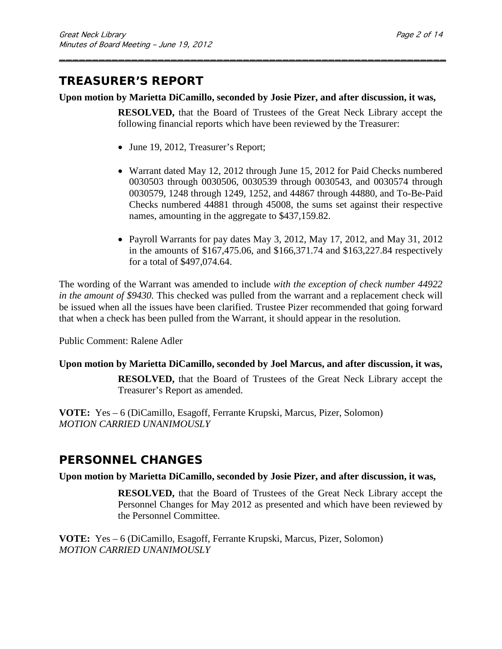### **Upon motion by Marietta DiCamillo, seconded by Josie Pizer, and after discussion, it was,**

\_\_\_\_\_\_\_\_\_\_\_\_\_\_\_\_\_\_\_\_\_\_\_\_\_\_\_\_\_\_\_\_\_\_\_\_\_\_\_\_\_\_\_\_\_\_\_\_\_\_\_\_\_\_\_\_\_\_\_

**RESOLVED,** that the Board of Trustees of the Great Neck Library accept the following financial reports which have been reviewed by the Treasurer:

- June 19, 2012, Treasurer's Report;
- Warrant dated May 12, 2012 through June 15, 2012 for Paid Checks numbered 0030503 through 0030506, 0030539 through 0030543, and 0030574 through 0030579, 1248 through 1249, 1252, and 44867 through 44880, and To-Be-Paid Checks numbered 44881 through 45008, the sums set against their respective names, amounting in the aggregate to \$437,159.82.
- Payroll Warrants for pay dates May 3, 2012, May 17, 2012, and May 31, 2012 in the amounts of \$167,475.06, and \$166,371.74 and \$163,227.84 respectively for a total of \$497,074.64.

The wording of the Warrant was amended to include *with the exception of check number 44922 in the amount of \$9430.* This checked was pulled from the warrant and a replacement check will be issued when all the issues have been clarified. Trustee Pizer recommended that going forward that when a check has been pulled from the Warrant, it should appear in the resolution.

Public Comment: Ralene Adler

### **Upon motion by Marietta DiCamillo, seconded by Joel Marcus, and after discussion, it was,**

**RESOLVED,** that the Board of Trustees of the Great Neck Library accept the Treasurer's Report as amended.

**VOTE:** Yes – 6 (DiCamillo, Esagoff, Ferrante Krupski, Marcus, Pizer, Solomon) *MOTION CARRIED UNANIMOUSLY*

## **PERSONNEL CHANGES**

### **Upon motion by Marietta DiCamillo, seconded by Josie Pizer, and after discussion, it was,**

**RESOLVED,** that the Board of Trustees of the Great Neck Library accept the Personnel Changes for May 2012 as presented and which have been reviewed by the Personnel Committee.

**VOTE:** Yes – 6 (DiCamillo, Esagoff, Ferrante Krupski, Marcus, Pizer, Solomon) *MOTION CARRIED UNANIMOUSLY*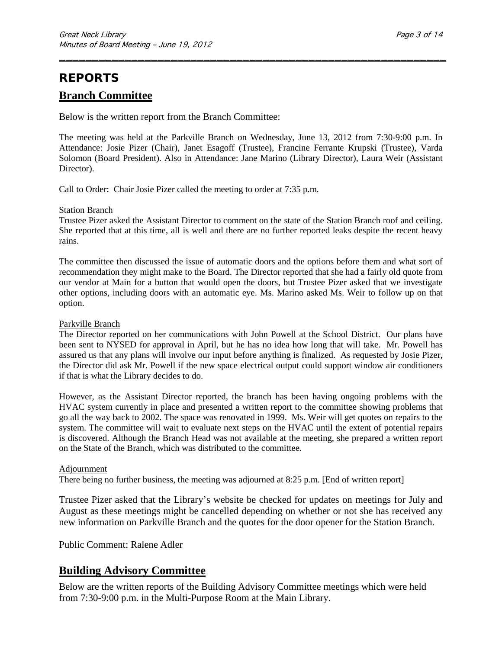# **REPORTS**

## **Branch Committee**

Below is the written report from the Branch Committee:

The meeting was held at the Parkville Branch on Wednesday, June 13, 2012 from 7:30-9:00 p.m. In Attendance: Josie Pizer (Chair), Janet Esagoff (Trustee), Francine Ferrante Krupski (Trustee), Varda Solomon (Board President). Also in Attendance: Jane Marino (Library Director), Laura Weir (Assistant Director).

\_\_\_\_\_\_\_\_\_\_\_\_\_\_\_\_\_\_\_\_\_\_\_\_\_\_\_\_\_\_\_\_\_\_\_\_\_\_\_\_\_\_\_\_\_\_\_\_\_\_\_\_\_\_\_\_\_\_\_

Call to Order:Chair Josie Pizer called the meeting to order at 7:35 p.m.

#### Station Branch

Trustee Pizer asked the Assistant Director to comment on the state of the Station Branch roof and ceiling. She reported that at this time, all is well and there are no further reported leaks despite the recent heavy rains.

The committee then discussed the issue of automatic doors and the options before them and what sort of recommendation they might make to the Board. The Director reported that she had a fairly old quote from our vendor at Main for a button that would open the doors, but Trustee Pizer asked that we investigate other options, including doors with an automatic eye. Ms. Marino asked Ms. Weir to follow up on that option.

#### Parkville Branch

The Director reported on her communications with John Powell at the School District. Our plans have been sent to NYSED for approval in April, but he has no idea how long that will take. Mr. Powell has assured us that any plans will involve our input before anything is finalized. As requested by Josie Pizer, the Director did ask Mr. Powell if the new space electrical output could support window air conditioners if that is what the Library decides to do.

However, as the Assistant Director reported, the branch has been having ongoing problems with the HVAC system currently in place and presented a written report to the committee showing problems that go all the way back to 2002. The space was renovated in 1999. Ms. Weir will get quotes on repairs to the system. The committee will wait to evaluate next steps on the HVAC until the extent of potential repairs is discovered. Although the Branch Head was not available at the meeting, she prepared a written report on the State of the Branch, which was distributed to the committee.

#### Adjournment

There being no further business, the meeting was adjourned at 8:25 p.m. [End of written report]

Trustee Pizer asked that the Library's website be checked for updates on meetings for July and August as these meetings might be cancelled depending on whether or not she has received any new information on Parkville Branch and the quotes for the door opener for the Station Branch.

Public Comment: Ralene Adler

## **Building Advisory Committee**

Below are the written reports of the Building Advisory Committee meetings which were held from 7:30-9:00 p.m. in the Multi-Purpose Room at the Main Library.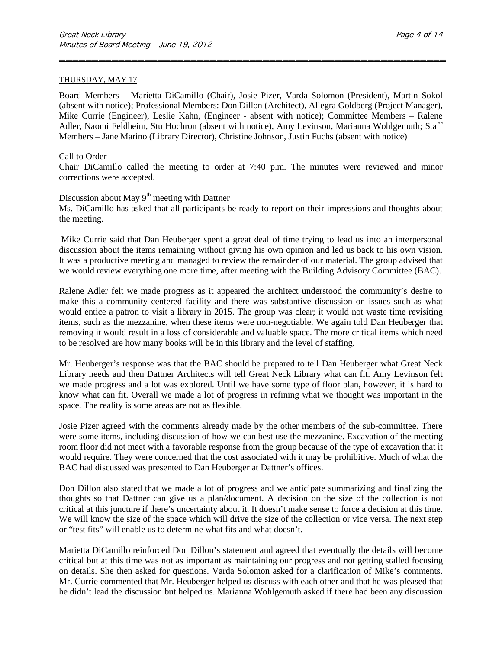#### THURSDAY, MAY 17

Board Members – Marietta DiCamillo (Chair), Josie Pizer, Varda Solomon (President), Martin Sokol (absent with notice); Professional Members: Don Dillon (Architect), Allegra Goldberg (Project Manager), Mike Currie (Engineer), Leslie Kahn, (Engineer - absent with notice); Committee Members – Ralene Adler, Naomi Feldheim, Stu Hochron (absent with notice), Amy Levinson, Marianna Wohlgemuth; Staff Members – Jane Marino (Library Director), Christine Johnson, Justin Fuchs (absent with notice)

\_\_\_\_\_\_\_\_\_\_\_\_\_\_\_\_\_\_\_\_\_\_\_\_\_\_\_\_\_\_\_\_\_\_\_\_\_\_\_\_\_\_\_\_\_\_\_\_\_\_\_\_\_\_\_\_\_\_\_

#### Call to Order

Chair DiCamillo called the meeting to order at 7:40 p.m. The minutes were reviewed and minor corrections were accepted.

### Discussion about May  $9<sup>th</sup>$  meeting with Dattner

Ms. DiCamillo has asked that all participants be ready to report on their impressions and thoughts about the meeting.

Mike Currie said that Dan Heuberger spent a great deal of time trying to lead us into an interpersonal discussion about the items remaining without giving his own opinion and led us back to his own vision. It was a productive meeting and managed to review the remainder of our material. The group advised that we would review everything one more time, after meeting with the Building Advisory Committee (BAC).

Ralene Adler felt we made progress as it appeared the architect understood the community's desire to make this a community centered facility and there was substantive discussion on issues such as what would entice a patron to visit a library in 2015. The group was clear; it would not waste time revisiting items, such as the mezzanine, when these items were non-negotiable. We again told Dan Heuberger that removing it would result in a loss of considerable and valuable space. The more critical items which need to be resolved are how many books will be in this library and the level of staffing.

Mr. Heuberger's response was that the BAC should be prepared to tell Dan Heuberger what Great Neck Library needs and then Dattner Architects will tell Great Neck Library what can fit. Amy Levinson felt we made progress and a lot was explored. Until we have some type of floor plan, however, it is hard to know what can fit. Overall we made a lot of progress in refining what we thought was important in the space. The reality is some areas are not as flexible.

Josie Pizer agreed with the comments already made by the other members of the sub-committee. There were some items, including discussion of how we can best use the mezzanine. Excavation of the meeting room floor did not meet with a favorable response from the group because of the type of excavation that it would require. They were concerned that the cost associated with it may be prohibitive. Much of what the BAC had discussed was presented to Dan Heuberger at Dattner's offices.

Don Dillon also stated that we made a lot of progress and we anticipate summarizing and finalizing the thoughts so that Dattner can give us a plan/document. A decision on the size of the collection is not critical at this juncture if there's uncertainty about it. It doesn't make sense to force a decision at this time. We will know the size of the space which will drive the size of the collection or vice versa. The next step or "test fits" will enable us to determine what fits and what doesn't.

Marietta DiCamillo reinforced Don Dillon's statement and agreed that eventually the details will become critical but at this time was not as important as maintaining our progress and not getting stalled focusing on details. She then asked for questions. Varda Solomon asked for a clarification of Mike's comments. Mr. Currie commented that Mr. Heuberger helped us discuss with each other and that he was pleased that he didn't lead the discussion but helped us. Marianna Wohlgemuth asked if there had been any discussion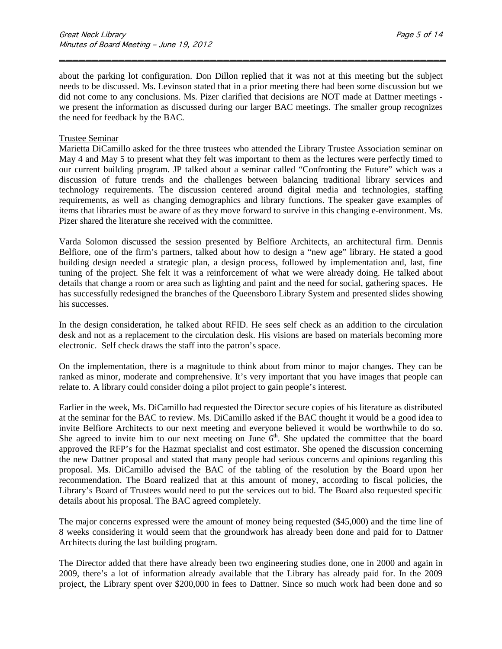about the parking lot configuration. Don Dillon replied that it was not at this meeting but the subject needs to be discussed. Ms. Levinson stated that in a prior meeting there had been some discussion but we did not come to any conclusions. Ms. Pizer clarified that decisions are NOT made at Dattner meetings we present the information as discussed during our larger BAC meetings. The smaller group recognizes the need for feedback by the BAC.

\_\_\_\_\_\_\_\_\_\_\_\_\_\_\_\_\_\_\_\_\_\_\_\_\_\_\_\_\_\_\_\_\_\_\_\_\_\_\_\_\_\_\_\_\_\_\_\_\_\_\_\_\_\_\_\_\_\_\_

#### Trustee Seminar

Marietta DiCamillo asked for the three trustees who attended the Library Trustee Association seminar on May 4 and May 5 to present what they felt was important to them as the lectures were perfectly timed to our current building program. JP talked about a seminar called "Confronting the Future" which was a discussion of future trends and the challenges between balancing traditional library services and technology requirements. The discussion centered around digital media and technologies, staffing requirements, as well as changing demographics and library functions. The speaker gave examples of items that libraries must be aware of as they move forward to survive in this changing e-environment. Ms. Pizer shared the literature she received with the committee.

Varda Solomon discussed the session presented by Belfiore Architects, an architectural firm. Dennis Belfiore, one of the firm's partners, talked about how to design a "new age" library. He stated a good building design needed a strategic plan, a design process, followed by implementation and, last, fine tuning of the project. She felt it was a reinforcement of what we were already doing. He talked about details that change a room or area such as lighting and paint and the need for social, gathering spaces. He has successfully redesigned the branches of the Queensboro Library System and presented slides showing his successes.

In the design consideration, he talked about RFID. He sees self check as an addition to the circulation desk and not as a replacement to the circulation desk. His visions are based on materials becoming more electronic. Self check draws the staff into the patron's space.

On the implementation, there is a magnitude to think about from minor to major changes. They can be ranked as minor, moderate and comprehensive. It's very important that you have images that people can relate to. A library could consider doing a pilot project to gain people's interest.

Earlier in the week, Ms. DiCamillo had requested the Director secure copies of his literature as distributed at the seminar for the BAC to review. Ms. DiCamillo asked if the BAC thought it would be a good idea to invite Belfiore Architects to our next meeting and everyone believed it would be worthwhile to do so. She agreed to invite him to our next meeting on June  $6<sup>th</sup>$ . She updated the committee that the board approved the RFP's for the Hazmat specialist and cost estimator. She opened the discussion concerning the new Dattner proposal and stated that many people had serious concerns and opinions regarding this proposal. Ms. DiCamillo advised the BAC of the tabling of the resolution by the Board upon her recommendation. The Board realized that at this amount of money, according to fiscal policies, the Library's Board of Trustees would need to put the services out to bid. The Board also requested specific details about his proposal. The BAC agreed completely.

The major concerns expressed were the amount of money being requested (\$45,000) and the time line of 8 weeks considering it would seem that the groundwork has already been done and paid for to Dattner Architects during the last building program.

The Director added that there have already been two engineering studies done, one in 2000 and again in 2009, there's a lot of information already available that the Library has already paid for. In the 2009 project, the Library spent over \$200,000 in fees to Dattner. Since so much work had been done and so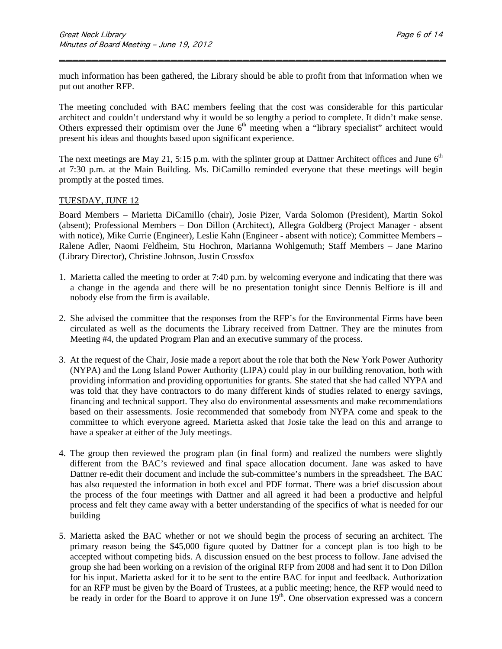much information has been gathered, the Library should be able to profit from that information when we put out another RFP.

\_\_\_\_\_\_\_\_\_\_\_\_\_\_\_\_\_\_\_\_\_\_\_\_\_\_\_\_\_\_\_\_\_\_\_\_\_\_\_\_\_\_\_\_\_\_\_\_\_\_\_\_\_\_\_\_\_\_\_

The meeting concluded with BAC members feeling that the cost was considerable for this particular architect and couldn't understand why it would be so lengthy a period to complete. It didn't make sense. Others expressed their optimism over the June  $6<sup>th</sup>$  meeting when a "library specialist" architect would present his ideas and thoughts based upon significant experience.

The next meetings are May 21, 5:15 p.m. with the splinter group at Dattner Architect offices and June  $6<sup>th</sup>$ at 7:30 p.m. at the Main Building. Ms. DiCamillo reminded everyone that these meetings will begin promptly at the posted times.

#### TUESDAY, JUNE 12

Board Members – Marietta DiCamillo (chair), Josie Pizer, Varda Solomon (President), Martin Sokol (absent); Professional Members – Don Dillon (Architect), Allegra Goldberg (Project Manager - absent with notice), Mike Currie (Engineer), Leslie Kahn (Engineer - absent with notice); Committee Members – Ralene Adler, Naomi Feldheim, Stu Hochron, Marianna Wohlgemuth; Staff Members – Jane Marino (Library Director), Christine Johnson, Justin Crossfox

- 1. Marietta called the meeting to order at 7:40 p.m. by welcoming everyone and indicating that there was a change in the agenda and there will be no presentation tonight since Dennis Belfiore is ill and nobody else from the firm is available.
- 2. She advised the committee that the responses from the RFP's for the Environmental Firms have been circulated as well as the documents the Library received from Dattner. They are the minutes from Meeting #4, the updated Program Plan and an executive summary of the process.
- 3. At the request of the Chair, Josie made a report about the role that both the New York Power Authority (NYPA) and the Long Island Power Authority (LIPA) could play in our building renovation, both with providing information and providing opportunities for grants. She stated that she had called NYPA and was told that they have contractors to do many different kinds of studies related to energy savings, financing and technical support. They also do environmental assessments and make recommendations based on their assessments. Josie recommended that somebody from NYPA come and speak to the committee to which everyone agreed. Marietta asked that Josie take the lead on this and arrange to have a speaker at either of the July meetings.
- 4. The group then reviewed the program plan (in final form) and realized the numbers were slightly different from the BAC's reviewed and final space allocation document. Jane was asked to have Dattner re-edit their document and include the sub-committee's numbers in the spreadsheet. The BAC has also requested the information in both excel and PDF format. There was a brief discussion about the process of the four meetings with Dattner and all agreed it had been a productive and helpful process and felt they came away with a better understanding of the specifics of what is needed for our building
- 5. Marietta asked the BAC whether or not we should begin the process of securing an architect. The primary reason being the \$45,000 figure quoted by Dattner for a concept plan is too high to be accepted without competing bids. A discussion ensued on the best process to follow. Jane advised the group she had been working on a revision of the original RFP from 2008 and had sent it to Don Dillon for his input. Marietta asked for it to be sent to the entire BAC for input and feedback. Authorization for an RFP must be given by the Board of Trustees, at a public meeting; hence, the RFP would need to be ready in order for the Board to approve it on June  $19<sup>th</sup>$ . One observation expressed was a concern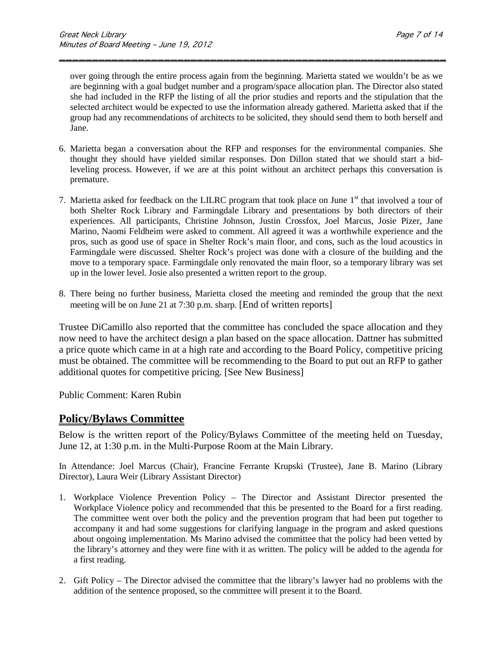over going through the entire process again from the beginning. Marietta stated we wouldn't be as we are beginning with a goal budget number and a program/space allocation plan. The Director also stated she had included in the RFP the listing of all the prior studies and reports and the stipulation that the selected architect would be expected to use the information already gathered. Marietta asked that if the group had any recommendations of architects to be solicited, they should send them to both herself and Jane.

\_\_\_\_\_\_\_\_\_\_\_\_\_\_\_\_\_\_\_\_\_\_\_\_\_\_\_\_\_\_\_\_\_\_\_\_\_\_\_\_\_\_\_\_\_\_\_\_\_\_\_\_\_\_\_\_\_\_\_

- 6. Marietta began a conversation about the RFP and responses for the environmental companies. She thought they should have yielded similar responses. Don Dillon stated that we should start a bidleveling process. However, if we are at this point without an architect perhaps this conversation is premature.
- 7. Marietta asked for feedback on the LILRC program that took place on June  $1<sup>st</sup>$  that involved a tour of both Shelter Rock Library and Farmingdale Library and presentations by both directors of their experiences. All participants, Christine Johnson, Justin Crossfox, Joel Marcus, Josie Pizer, Jane Marino, Naomi Feldheim were asked to comment. All agreed it was a worthwhile experience and the pros, such as good use of space in Shelter Rock's main floor, and cons, such as the loud acoustics in Farmingdale were discussed. Shelter Rock's project was done with a closure of the building and the move to a temporary space. Farmingdale only renovated the main floor, so a temporary library was set up in the lower level. Josie also presented a written report to the group.
- 8. There being no further business, Marietta closed the meeting and reminded the group that the next meeting will be on June 21 at 7:30 p.m. sharp. [End of written reports]

Trustee DiCamillo also reported that the committee has concluded the space allocation and they now need to have the architect design a plan based on the space allocation. Dattner has submitted a price quote which came in at a high rate and according to the Board Policy, competitive pricing must be obtained. The committee will be recommending to the Board to put out an RFP to gather additional quotes for competitive pricing. [See New Business]

Public Comment: Karen Rubin

### **Policy/Bylaws Committee**

Below is the written report of the Policy/Bylaws Committee of the meeting held on Tuesday, June 12, at 1:30 p.m. in the Multi-Purpose Room at the Main Library.

In Attendance: Joel Marcus (Chair), Francine Ferrante Krupski (Trustee), Jane B. Marino (Library Director), Laura Weir (Library Assistant Director)

- 1. Workplace Violence Prevention Policy The Director and Assistant Director presented the Workplace Violence policy and recommended that this be presented to the Board for a first reading. The committee went over both the policy and the prevention program that had been put together to accompany it and had some suggestions for clarifying language in the program and asked questions about ongoing implementation. Ms Marino advised the committee that the policy had been vetted by the library's attorney and they were fine with it as written. The policy will be added to the agenda for a first reading.
- 2. Gift Policy The Director advised the committee that the library's lawyer had no problems with the addition of the sentence proposed, so the committee will present it to the Board.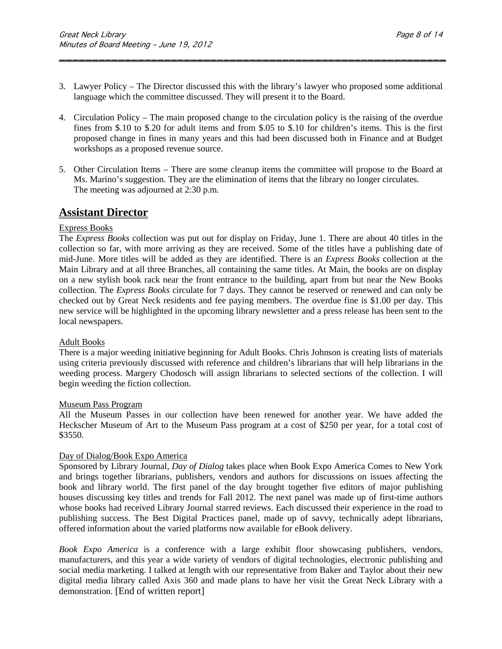3. Lawyer Policy – The Director discussed this with the library's lawyer who proposed some additional language which the committee discussed. They will present it to the Board.

\_\_\_\_\_\_\_\_\_\_\_\_\_\_\_\_\_\_\_\_\_\_\_\_\_\_\_\_\_\_\_\_\_\_\_\_\_\_\_\_\_\_\_\_\_\_\_\_\_\_\_\_\_\_\_\_\_\_\_

- 4. Circulation Policy The main proposed change to the circulation policy is the raising of the overdue fines from \$.10 to \$.20 for adult items and from \$.05 to \$.10 for children's items. This is the first proposed change in fines in many years and this had been discussed both in Finance and at Budget workshops as a proposed revenue source.
- 5. Other Circulation Items There are some cleanup items the committee will propose to the Board at Ms. Marino's suggestion. They are the elimination of items that the library no longer circulates. The meeting was adjourned at 2:30 p.m.

## **Assistant Director**

#### Express Books

The *Express Books* collection was put out for display on Friday, June 1. There are about 40 titles in the collection so far, with more arriving as they are received. Some of the titles have a publishing date of mid-June. More titles will be added as they are identified. There is an *Express Books* collection at the Main Library and at all three Branches, all containing the same titles. At Main, the books are on display on a new stylish book rack near the front entrance to the building, apart from but near the New Books collection. The *Express Books* circulate for 7 days. They cannot be reserved or renewed and can only be checked out by Great Neck residents and fee paying members. The overdue fine is \$1.00 per day. This new service will be highlighted in the upcoming library newsletter and a press release has been sent to the local newspapers.

#### Adult Books

There is a major weeding initiative beginning for Adult Books. Chris Johnson is creating lists of materials using criteria previously discussed with reference and children's librarians that will help librarians in the weeding process. Margery Chodosch will assign librarians to selected sections of the collection. I will begin weeding the fiction collection.

#### Museum Pass Program

All the Museum Passes in our collection have been renewed for another year. We have added the Heckscher Museum of Art to the Museum Pass program at a cost of \$250 per year, for a total cost of \$3550.

#### Day of Dialog/Book Expo America

Sponsored by Library Journal, *Day of Dialog* takes place when Book Expo America Comes to New York and brings together librarians, publishers, vendors and authors for discussions on issues affecting the book and library world. The first panel of the day brought together five editors of major publishing houses discussing key titles and trends for Fall 2012. The next panel was made up of first-time authors whose books had received Library Journal starred reviews. Each discussed their experience in the road to publishing success. The Best Digital Practices panel, made up of savvy, technically adept librarians, offered information about the varied platforms now available for eBook delivery.

*Book Expo America* is a conference with a large exhibit floor showcasing publishers, vendors, manufacturers, and this year a wide variety of vendors of digital technologies, electronic publishing and social media marketing. I talked at length with our representative from Baker and Taylor about their new digital media library called Axis 360 and made plans to have her visit the Great Neck Library with a demonstration. [End of written report]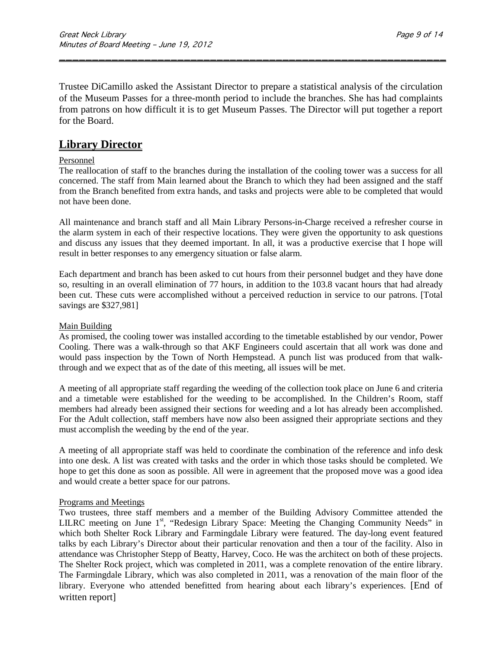Trustee DiCamillo asked the Assistant Director to prepare a statistical analysis of the circulation of the Museum Passes for a three-month period to include the branches. She has had complaints from patrons on how difficult it is to get Museum Passes. The Director will put together a report for the Board.

\_\_\_\_\_\_\_\_\_\_\_\_\_\_\_\_\_\_\_\_\_\_\_\_\_\_\_\_\_\_\_\_\_\_\_\_\_\_\_\_\_\_\_\_\_\_\_\_\_\_\_\_\_\_\_\_\_\_\_

## **Library Director**

#### Personnel

The reallocation of staff to the branches during the installation of the cooling tower was a success for all concerned. The staff from Main learned about the Branch to which they had been assigned and the staff from the Branch benefited from extra hands, and tasks and projects were able to be completed that would not have been done.

All maintenance and branch staff and all Main Library Persons-in-Charge received a refresher course in the alarm system in each of their respective locations. They were given the opportunity to ask questions and discuss any issues that they deemed important. In all, it was a productive exercise that I hope will result in better responses to any emergency situation or false alarm.

Each department and branch has been asked to cut hours from their personnel budget and they have done so, resulting in an overall elimination of 77 hours, in addition to the 103.8 vacant hours that had already been cut. These cuts were accomplished without a perceived reduction in service to our patrons. [Total savings are \$327,981]

#### Main Building

As promised, the cooling tower was installed according to the timetable established by our vendor, Power Cooling. There was a walk-through so that AKF Engineers could ascertain that all work was done and would pass inspection by the Town of North Hempstead. A punch list was produced from that walkthrough and we expect that as of the date of this meeting, all issues will be met.

A meeting of all appropriate staff regarding the weeding of the collection took place on June 6 and criteria and a timetable were established for the weeding to be accomplished. In the Children's Room, staff members had already been assigned their sections for weeding and a lot has already been accomplished. For the Adult collection, staff members have now also been assigned their appropriate sections and they must accomplish the weeding by the end of the year.

A meeting of all appropriate staff was held to coordinate the combination of the reference and info desk into one desk. A list was created with tasks and the order in which those tasks should be completed. We hope to get this done as soon as possible. All were in agreement that the proposed move was a good idea and would create a better space for our patrons.

#### Programs and Meetings

Two trustees, three staff members and a member of the Building Advisory Committee attended the LILRC meeting on June 1<sup>st</sup>, "Redesign Library Space: Meeting the Changing Community Needs" in which both Shelter Rock Library and Farmingdale Library were featured. The day-long event featured talks by each Library's Director about their particular renovation and then a tour of the facility. Also in attendance was Christopher Stepp of Beatty, Harvey, Coco. He was the architect on both of these projects. The Shelter Rock project, which was completed in 2011, was a complete renovation of the entire library. The Farmingdale Library, which was also completed in 2011, was a renovation of the main floor of the library. Everyone who attended benefitted from hearing about each library's experiences. [End of written report]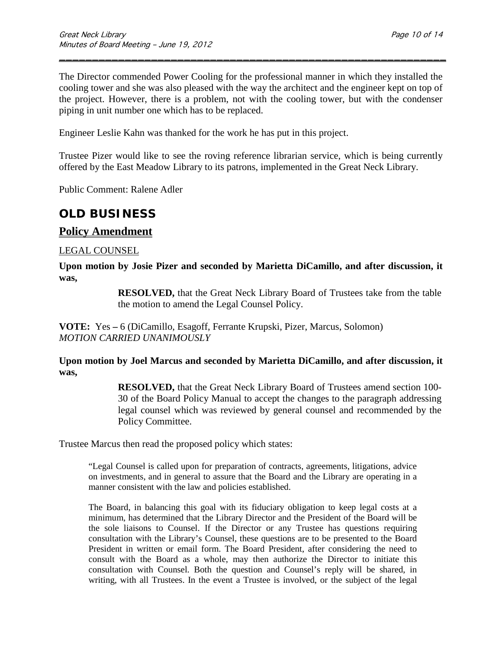The Director commended Power Cooling for the professional manner in which they installed the cooling tower and she was also pleased with the way the architect and the engineer kept on top of the project. However, there is a problem, not with the cooling tower, but with the condenser piping in unit number one which has to be replaced.

\_\_\_\_\_\_\_\_\_\_\_\_\_\_\_\_\_\_\_\_\_\_\_\_\_\_\_\_\_\_\_\_\_\_\_\_\_\_\_\_\_\_\_\_\_\_\_\_\_\_\_\_\_\_\_\_\_\_\_

Engineer Leslie Kahn was thanked for the work he has put in this project.

Trustee Pizer would like to see the roving reference librarian service, which is being currently offered by the East Meadow Library to its patrons, implemented in the Great Neck Library.

Public Comment: Ralene Adler

## **OLD BUSINESS**

### **Policy Amendment**

#### LEGAL COUNSEL

**Upon motion by Josie Pizer and seconded by Marietta DiCamillo, and after discussion, it was,**

> **RESOLVED,** that the Great Neck Library Board of Trustees take from the table the motion to amend the Legal Counsel Policy.

**VOTE:** Yes **–** 6 (DiCamillo, Esagoff, Ferrante Krupski, Pizer, Marcus, Solomon) *MOTION CARRIED UNANIMOUSLY*

### **Upon motion by Joel Marcus and seconded by Marietta DiCamillo, and after discussion, it was,**

**RESOLVED,** that the Great Neck Library Board of Trustees amend section 100- 30 of the Board Policy Manual to accept the changes to the paragraph addressing legal counsel which was reviewed by general counsel and recommended by the Policy Committee.

Trustee Marcus then read the proposed policy which states:

"Legal Counsel is called upon for preparation of contracts, agreements, litigations, advice on investments, and in general to assure that the Board and the Library are operating in a manner consistent with the law and policies established.

The Board, in balancing this goal with its fiduciary obligation to keep legal costs at a minimum, has determined that the Library Director and the President of the Board will be the sole liaisons to Counsel. If the Director or any Trustee has questions requiring consultation with the Library's Counsel, these questions are to be presented to the Board President in written or email form. The Board President, after considering the need to consult with the Board as a whole, may then authorize the Director to initiate this consultation with Counsel. Both the question and Counsel's reply will be shared, in writing, with all Trustees. In the event a Trustee is involved, or the subject of the legal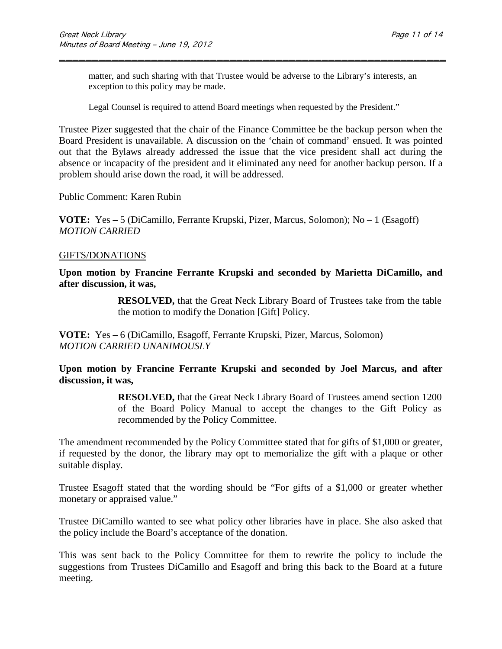matter, and such sharing with that Trustee would be adverse to the Library's interests, an exception to this policy may be made.

\_\_\_\_\_\_\_\_\_\_\_\_\_\_\_\_\_\_\_\_\_\_\_\_\_\_\_\_\_\_\_\_\_\_\_\_\_\_\_\_\_\_\_\_\_\_\_\_\_\_\_\_\_\_\_\_\_\_\_

Legal Counsel is required to attend Board meetings when requested by the President."

Trustee Pizer suggested that the chair of the Finance Committee be the backup person when the Board President is unavailable. A discussion on the 'chain of command' ensued. It was pointed out that the Bylaws already addressed the issue that the vice president shall act during the absence or incapacity of the president and it eliminated any need for another backup person. If a problem should arise down the road, it will be addressed.

Public Comment: Karen Rubin

**VOTE:** Yes **–** 5 (DiCamillo, Ferrante Krupski, Pizer, Marcus, Solomon); No – 1 (Esagoff) *MOTION CARRIED*

#### GIFTS/DONATIONS

**Upon motion by Francine Ferrante Krupski and seconded by Marietta DiCamillo, and after discussion, it was,**

> **RESOLVED,** that the Great Neck Library Board of Trustees take from the table the motion to modify the Donation [Gift] Policy.

**VOTE:** Yes **–** 6 (DiCamillo, Esagoff, Ferrante Krupski, Pizer, Marcus, Solomon) *MOTION CARRIED UNANIMOUSLY*

**Upon motion by Francine Ferrante Krupski and seconded by Joel Marcus, and after discussion, it was,**

> **RESOLVED,** that the Great Neck Library Board of Trustees amend section 1200 of the Board Policy Manual to accept the changes to the Gift Policy as recommended by the Policy Committee.

The amendment recommended by the Policy Committee stated that for gifts of \$1,000 or greater, if requested by the donor, the library may opt to memorialize the gift with a plaque or other suitable display.

Trustee Esagoff stated that the wording should be "For gifts of a \$1,000 or greater whether monetary or appraised value."

Trustee DiCamillo wanted to see what policy other libraries have in place. She also asked that the policy include the Board's acceptance of the donation.

This was sent back to the Policy Committee for them to rewrite the policy to include the suggestions from Trustees DiCamillo and Esagoff and bring this back to the Board at a future meeting.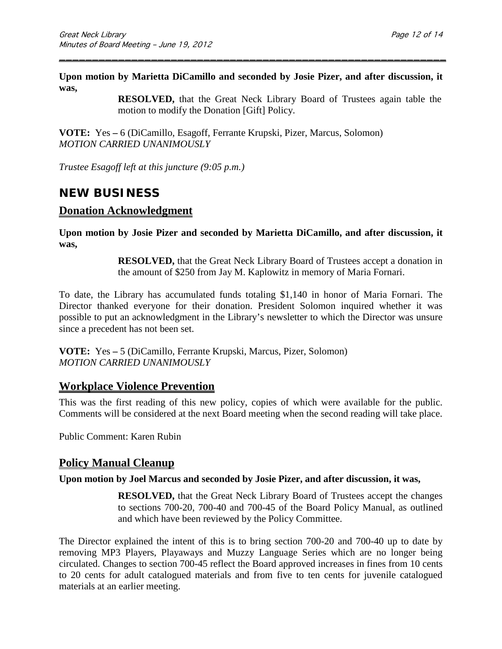**Upon motion by Marietta DiCamillo and seconded by Josie Pizer, and after discussion, it was,**

\_\_\_\_\_\_\_\_\_\_\_\_\_\_\_\_\_\_\_\_\_\_\_\_\_\_\_\_\_\_\_\_\_\_\_\_\_\_\_\_\_\_\_\_\_\_\_\_\_\_\_\_\_\_\_\_\_\_\_

**RESOLVED,** that the Great Neck Library Board of Trustees again table the motion to modify the Donation [Gift] Policy.

**VOTE:** Yes **–** 6 (DiCamillo, Esagoff, Ferrante Krupski, Pizer, Marcus, Solomon) *MOTION CARRIED UNANIMOUSLY*

*Trustee Esagoff left at this juncture (9:05 p.m.)*

## **NEW BUSINESS**

### **Donation Acknowledgment**

**Upon motion by Josie Pizer and seconded by Marietta DiCamillo, and after discussion, it was,**

> **RESOLVED,** that the Great Neck Library Board of Trustees accept a donation in the amount of \$250 from Jay M. Kaplowitz in memory of Maria Fornari.

To date, the Library has accumulated funds totaling \$1,140 in honor of Maria Fornari. The Director thanked everyone for their donation. President Solomon inquired whether it was possible to put an acknowledgment in the Library's newsletter to which the Director was unsure since a precedent has not been set.

**VOTE:** Yes **–** 5 (DiCamillo, Ferrante Krupski, Marcus, Pizer, Solomon) *MOTION CARRIED UNANIMOUSLY*

## **Workplace Violence Prevention**

This was the first reading of this new policy, copies of which were available for the public. Comments will be considered at the next Board meeting when the second reading will take place.

Public Comment: Karen Rubin

## **Policy Manual Cleanup**

#### **Upon motion by Joel Marcus and seconded by Josie Pizer, and after discussion, it was,**

**RESOLVED,** that the Great Neck Library Board of Trustees accept the changes to sections 700-20, 700-40 and 700-45 of the Board Policy Manual, as outlined and which have been reviewed by the Policy Committee.

The Director explained the intent of this is to bring section 700-20 and 700-40 up to date by removing MP3 Players, Playaways and Muzzy Language Series which are no longer being circulated. Changes to section 700-45 reflect the Board approved increases in fines from 10 cents to 20 cents for adult catalogued materials and from five to ten cents for juvenile catalogued materials at an earlier meeting.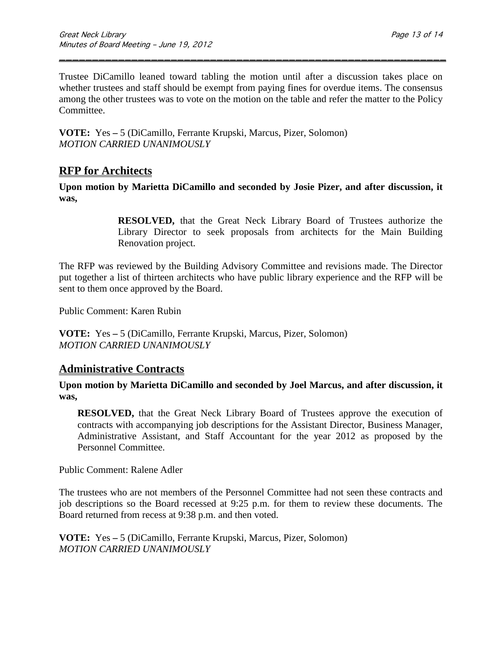Trustee DiCamillo leaned toward tabling the motion until after a discussion takes place on whether trustees and staff should be exempt from paying fines for overdue items. The consensus among the other trustees was to vote on the motion on the table and refer the matter to the Policy Committee.

\_\_\_\_\_\_\_\_\_\_\_\_\_\_\_\_\_\_\_\_\_\_\_\_\_\_\_\_\_\_\_\_\_\_\_\_\_\_\_\_\_\_\_\_\_\_\_\_\_\_\_\_\_\_\_\_\_\_\_

**VOTE:** Yes **–** 5 (DiCamillo, Ferrante Krupski, Marcus, Pizer, Solomon) *MOTION CARRIED UNANIMOUSLY*

## **RFP for Architects**

**Upon motion by Marietta DiCamillo and seconded by Josie Pizer, and after discussion, it was,**

> **RESOLVED,** that the Great Neck Library Board of Trustees authorize the Library Director to seek proposals from architects for the Main Building Renovation project.

The RFP was reviewed by the Building Advisory Committee and revisions made. The Director put together a list of thirteen architects who have public library experience and the RFP will be sent to them once approved by the Board.

Public Comment: Karen Rubin

**VOTE:** Yes **–** 5 (DiCamillo, Ferrante Krupski, Marcus, Pizer, Solomon) *MOTION CARRIED UNANIMOUSLY*

## **Administrative Contracts**

**Upon motion by Marietta DiCamillo and seconded by Joel Marcus, and after discussion, it was,**

**RESOLVED,** that the Great Neck Library Board of Trustees approve the execution of contracts with accompanying job descriptions for the Assistant Director, Business Manager, Administrative Assistant, and Staff Accountant for the year 2012 as proposed by the Personnel Committee.

Public Comment: Ralene Adler

The trustees who are not members of the Personnel Committee had not seen these contracts and job descriptions so the Board recessed at 9:25 p.m. for them to review these documents. The Board returned from recess at 9:38 p.m. and then voted.

**VOTE:** Yes **–** 5 (DiCamillo, Ferrante Krupski, Marcus, Pizer, Solomon) *MOTION CARRIED UNANIMOUSLY*